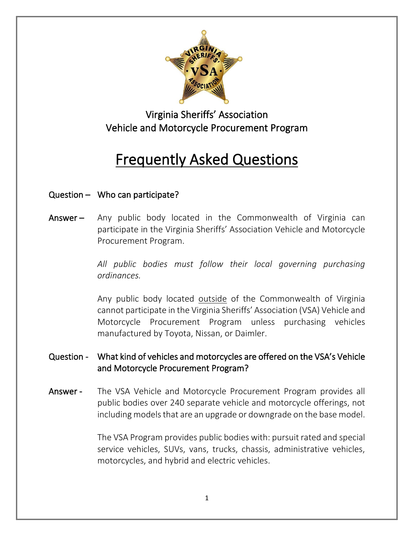

# Virginia Sheriffs' Association Vehicle and Motorcycle Procurement Program

# Frequently Asked Questions

# Question – Who can participate?

Answer – Any public body located in the Commonwealth of Virginia can participate in the Virginia Sheriffs' Association Vehicle and Motorcycle Procurement Program.

> *All public bodies must follow their local governing purchasing ordinances.*

> Any public body located outside of the Commonwealth of Virginia cannot participate in the Virginia Sheriffs' Association (VSA) Vehicle and Motorcycle Procurement Program unless purchasing vehicles manufactured by Toyota, Nissan, or Daimler.

## Question - What kind of vehicles and motorcycles are offered on the VSA's Vehicle and Motorcycle Procurement Program?

Answer - The VSA Vehicle and Motorcycle Procurement Program provides all public bodies over 240 separate vehicle and motorcycle offerings, not including models that are an upgrade or downgrade on the base model.

> The VSA Program provides public bodies with: pursuit rated and special service vehicles, SUVs, vans, trucks, chassis, administrative vehicles, motorcycles, and hybrid and electric vehicles.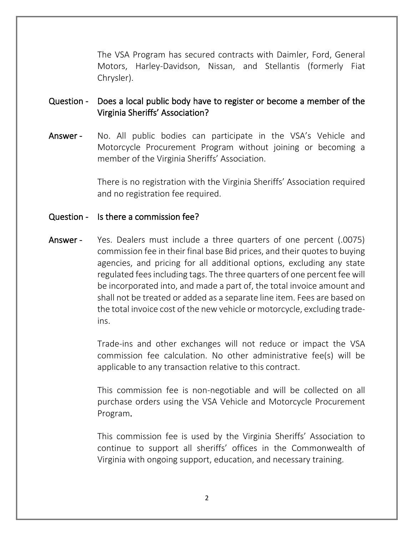The VSA Program has secured contracts with Daimler, Ford, General Motors, Harley-Davidson, Nissan, and Stellantis (formerly Fiat Chrysler).

#### Question - Does a local public body have to register or become a member of the Virginia Sheriffs' Association?

Answer - No. All public bodies can participate in the VSA's Vehicle and Motorcycle Procurement Program without joining or becoming a member of the Virginia Sheriffs' Association.

> There is no registration with the Virginia Sheriffs' Association required and no registration fee required.

#### Question - Is there a commission fee?

Answer - Yes. Dealers must include a three quarters of one percent (.0075) commission fee in their final base Bid prices, and their quotes to buying agencies, and pricing for all additional options, excluding any state regulated fees including tags. The three quarters of one percent fee will be incorporated into, and made a part of, the total invoice amount and shall not be treated or added as a separate line item. Fees are based on the total invoice cost of the new vehicle or motorcycle, excluding tradeins.

> Trade-ins and other exchanges will not reduce or impact the VSA commission fee calculation. No other administrative fee(s) will be applicable to any transaction relative to this contract.

> This commission fee is non-negotiable and will be collected on all purchase orders using the VSA Vehicle and Motorcycle Procurement Program.

> This commission fee is used by the Virginia Sheriffs' Association to continue to support all sheriffs' offices in the Commonwealth of Virginia with ongoing support, education, and necessary training.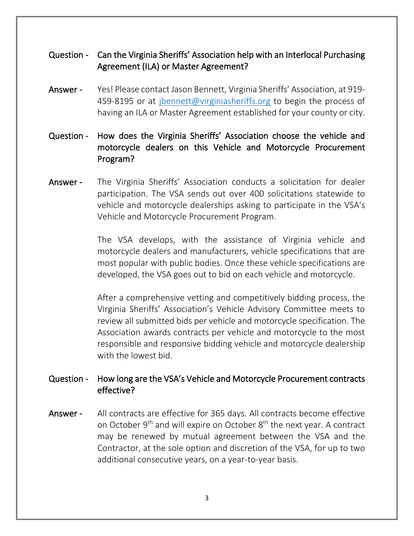### Question - Can the Virginia Sheriffs' Association help with an Interlocal Purchasing Agreement (ILA) or Master Agreement?

- Answer Yes! Please contact Jason Bennett, Virginia Sheriffs' Association, at 919-459-8195 or at *jbennett@virginiasheriffs.org* to begin the process of having an ILA or Master Agreement established for your county or city.
- Question How does the Virginia Sheriffs' Association choose the vehicle and motorcycle dealers on this Vehicle and Motorcycle Procurement Program?
- Answer The Virginia Sheriffs' Association conducts a solicitation for dealer participation. The VSA sends out over 400 solicitations statewide to vehicle and motorcycle dealerships asking to participate in the VSA's Vehicle and Motorcycle Procurement Program.

The VSA develops, with the assistance of Virginia vehicle and motorcycle dealers and manufacturers, vehicle specifications that are most popular with public bodies. Once these vehicle specifications are developed, the VSA goes out to bid on each vehicle and motorcycle.

After a comprehensive vetting and competitively bidding process, the Virginia Sheriffs' Association's Vehicle Advisory Committee meets to review all submitted bids per vehicle and motorcycle specification. The Association awards contracts per vehicle and motorcycle to the most responsible and responsive bidding vehicle and motorcycle dealership with the lowest bid.

#### Question - How long are the VSA's Vehicle and Motorcycle Procurement contracts effective?

Answer - All contracts are effective for 365 days. All contracts become effective on October 9<sup>th</sup> and will expire on October 8<sup>th</sup> the next year. A contract may be renewed by mutual agreement between the VSA and the Contractor, at the sole option and discretion of the VSA, for up to two additional consecutive years, on a year-to-year basis.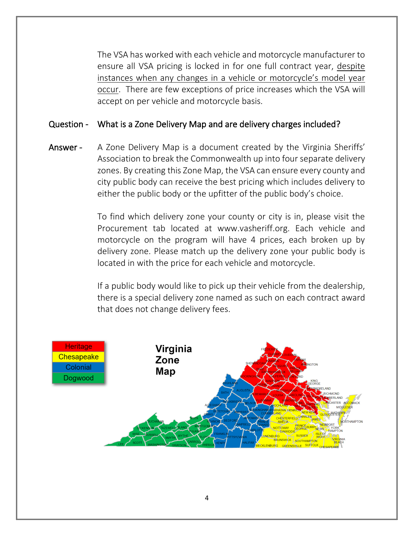The VSA has worked with each vehicle and motorcycle manufacturer to ensure all VSA pricing is locked in for one full contract year, despite instances when any changes in a vehicle or motorcycle's model year occur. There are few exceptions of price increases which the VSA will accept on per vehicle and motorcycle basis.

#### Question - What is a Zone Delivery Map and are delivery charges included?

Answer - A Zone Delivery Map is a document created by the Virginia Sheriffs' Association to break the Commonwealth up into four separate delivery zones. By creating this Zone Map, the VSA can ensure every county and city public body can receive the best pricing which includes delivery to either the public body or the upfitter of the public body's choice.

> To find which delivery zone your county or city is in, please visit the Procurement tab located at www.vasheriff.org. Each vehicle and motorcycle on the program will have 4 prices, each broken up by delivery zone. Please match up the delivery zone your public body is located in with the price for each vehicle and motorcycle.

> If a public body would like to pick up their vehicle from the dealership, there is a special delivery zone named as such on each contract award that does not change delivery fees.

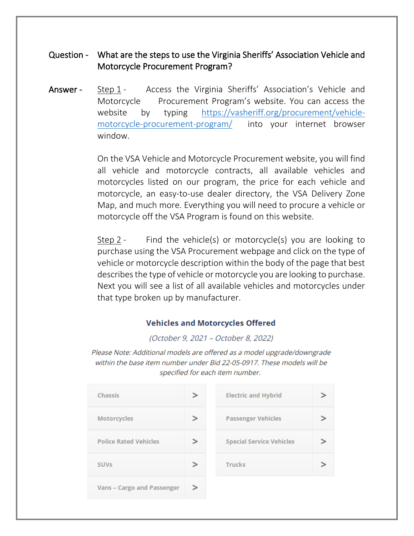#### Question - What are the steps to use the Virginia Sheriffs' Association Vehicle and Motorcycle Procurement Program?

Answer - Step 1 - Access the Virginia Sheriffs' Association's Vehicle and Motorcycle Procurement Program's website. You can access the website by typing [https://vasheriff.org/procurement/vehicle](https://vasheriff.org/procurement/vehicle-motorcycle-procurement-program/)[motorcycle-procurement-program/](https://vasheriff.org/procurement/vehicle-motorcycle-procurement-program/) into your internet browser window.

> On the VSA Vehicle and Motorcycle Procurement website, you will find all vehicle and motorcycle contracts, all available vehicles and motorcycles listed on our program, the price for each vehicle and motorcycle, an easy-to-use dealer directory, the VSA Delivery Zone Map, and much more. Everything you will need to procure a vehicle or motorcycle off the VSA Program is found on this website.

> Step 2 - Find the vehicle(s) or motorcycle(s) you are looking to purchase using the VSA Procurement webpage and click on the type of vehicle or motorcycle description within the body of the page that best describes the type of vehicle or motorcycle you are looking to purchase. Next you will see a list of all available vehicles and motorcycles under that type broken up by manufacturer.

#### **Vehicles and Motorcycles Offered**

(October 9, 2021 - October 8, 2022)

Please Note: Additional models are offered as a model upgrade/downgrade within the base item number under Bid 22-05-0917. These models will be specified for each item number.

| <b>Chassis</b>                    | ⋗ | <b>Electric and Hybrid</b>      |
|-----------------------------------|---|---------------------------------|
| <b>Motorcycles</b>                | ↘ | <b>Passenger Vehicles</b>       |
| <b>Police Rated Vehicles</b>      |   | <b>Special Service Vehicles</b> |
| <b>SUV<sub>s</sub></b>            |   | <b>Trucks</b>                   |
| <b>Vans - Cargo and Passenger</b> | ↘ |                                 |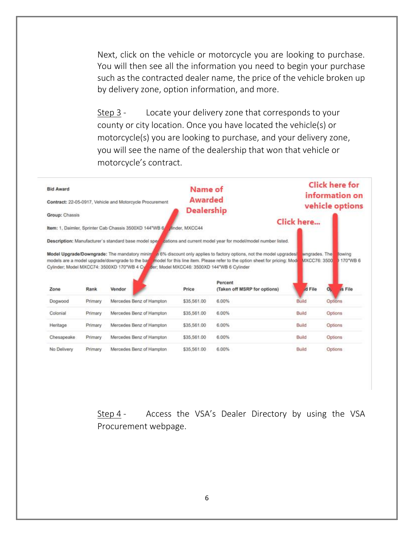Next, click on the vehicle or motorcycle you are looking to purchase. You will then see all the information you need to begin your purchase such as the contracted dealer name, the price of the vehicle broken up by delivery zone, option information, and more.

Step 3 - Locate your delivery zone that corresponds to your county or city location. Once you have located the vehicle(s) or motorcycle(s) you are looking to purchase, and your delivery zone, you will see the name of the dealership that won that vehicle or motorcycle's contract.

| <b>Bid Award</b><br>Contract: 22-05-0917, Vehicle and Motorcycle Procurement<br>Group: Chassis |         |                                                                                                                                                        | Name of<br><b>Awarded</b><br><b>Dealership</b> |                                                                                                                         | <b>Click here for</b><br>information on<br>vehicle options |                                             |  |
|------------------------------------------------------------------------------------------------|---------|--------------------------------------------------------------------------------------------------------------------------------------------------------|------------------------------------------------|-------------------------------------------------------------------------------------------------------------------------|------------------------------------------------------------|---------------------------------------------|--|
|                                                                                                |         |                                                                                                                                                        |                                                |                                                                                                                         |                                                            |                                             |  |
|                                                                                                |         |                                                                                                                                                        |                                                | Description: Manufacturer's standard base model spert cations and current model year for model/model number listed.     |                                                            |                                             |  |
| Zone                                                                                           | Rank    | models are a model upgrade/downgrade to the base<br>Cylinder; Model MXCC74: 3500XD 170"WB 4 Cylluder; Model MXCC46: 3500XD 144"WB 6 Cylinder<br>Vendor | Price                                          | model for this line item. Please refer to the option sheet for pricing: Mode<br>Percent<br>(Taken off MSRP for options) | MXCC76: 3500<br>d File                                     | 170°WB 6<br><sub>d</sub> s File<br>$\alpha$ |  |
| Dogwood                                                                                        | Primary | Mercedes Benz of Hampton                                                                                                                               | \$35,561.00                                    | 6.00%                                                                                                                   | Build                                                      | <b>Options</b>                              |  |
| Colonial                                                                                       | Primary | Mercedes Benz of Hampton                                                                                                                               | \$35,561.00                                    | 6.00%                                                                                                                   | Build                                                      | Options                                     |  |
| Heritage                                                                                       | Primary | Mercedes Benz of Hampton                                                                                                                               | \$35,561.00                                    | 6.00%                                                                                                                   | Build                                                      | <b>Options</b>                              |  |
| Chesapeake                                                                                     | Primary | Mercedes Benz of Hampton                                                                                                                               | \$35,561.00                                    | 6.00%                                                                                                                   | Build                                                      | Options                                     |  |
| No Delivery                                                                                    | Primary | Mercedes Benz of Hampton                                                                                                                               | \$35,561.00                                    | 6.00%                                                                                                                   | <b>Build</b>                                               | Orstions                                    |  |

Step 4 - Access the VSA's Dealer Directory by using the VSA Procurement webpage.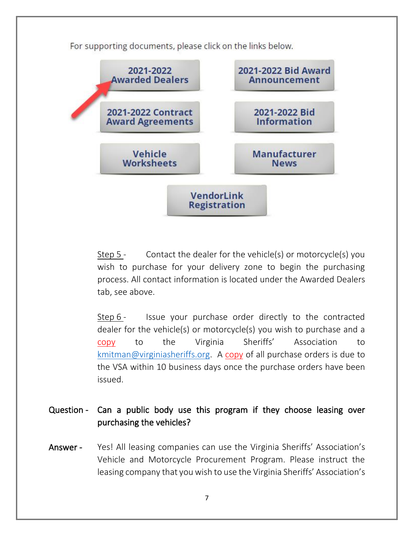For supporting documents, please click on the links below.



Step 5 - Contact the dealer for the vehicle(s) or motorcycle(s) you wish to purchase for your delivery zone to begin the purchasing process. All contact information is located under the Awarded Dealers tab, see above.

Step 6 - Issue your purchase order directly to the contracted dealer for the vehicle(s) or motorcycle(s) you wish to purchase and a copy to the Virginia Sheriffs' Association to [kmitman@virginiasheriffs.org.](mailto:kmitman@ncsheriffs.net) A copy of all purchase orders is due to the VSA within 10 business days once the purchase orders have been issued.

Question - Can a public body use this program if they choose leasing over purchasing the vehicles?

Answer - Yes! All leasing companies can use the Virginia Sheriffs' Association's Vehicle and Motorcycle Procurement Program. Please instruct the leasing company that you wish to use the Virginia Sheriffs' Association's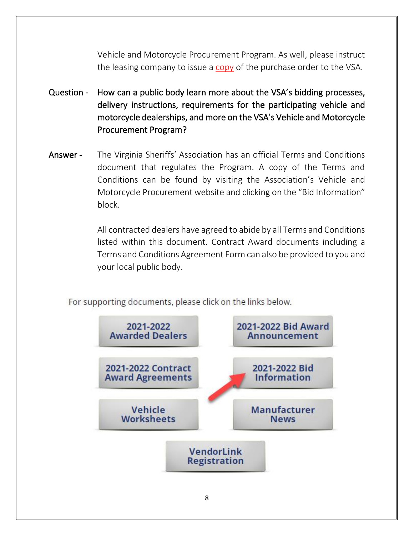Vehicle and Motorcycle Procurement Program. As well, please instruct the leasing company to issue a copy of the purchase order to the VSA.

- Question How can a public body learn more about the VSA's bidding processes, delivery instructions, requirements for the participating vehicle and motorcycle dealerships, and more on the VSA's Vehicle and Motorcycle Procurement Program?
- Answer The Virginia Sheriffs' Association has an official Terms and Conditions document that regulates the Program. A copy of the Terms and Conditions can be found by visiting the Association's Vehicle and Motorcycle Procurement website and clicking on the "Bid Information" block.

All contracted dealers have agreed to abide by all Terms and Conditions listed within this document. Contract Award documents including a Terms and Conditions Agreement Form can also be provided to you and your local public body.

For supporting documents, please click on the links below.